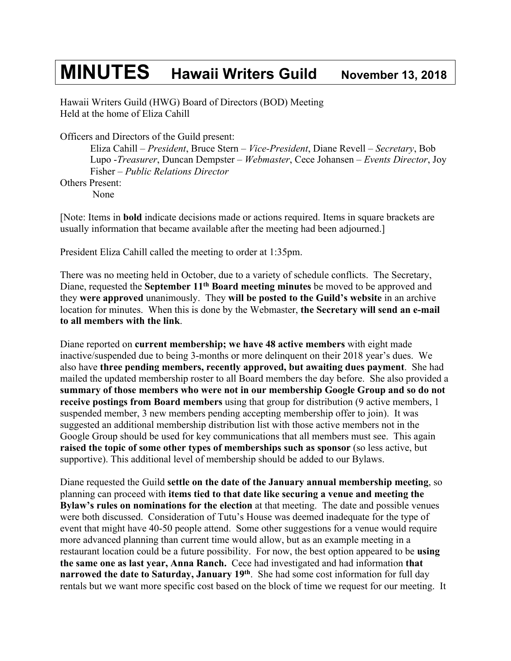## **MINUTES Hawaii Writers Guild November 13, <sup>2018</sup>**

Hawaii Writers Guild (HWG) Board of Directors (BOD) Meeting Held at the home of Eliza Cahill

Officers and Directors of the Guild present:

Eliza Cahill – *President*, Bruce Stern – *Vice-President*, Diane Revell – *Secretary*, Bob Lupo -*Treasurer*, Duncan Dempster – *Webmaster*, Cece Johansen – *Events Director*, Joy Fisher – *Public Relations Director* Others Present: None

[Note: Items in **bold** indicate decisions made or actions required. Items in square brackets are usually information that became available after the meeting had been adjourned.]

President Eliza Cahill called the meeting to order at 1:35pm.

There was no meeting held in October, due to a variety of schedule conflicts. The Secretary, Diane, requested the **September 11th Board meeting minutes** be moved to be approved and they **were approved** unanimously. They **will be posted to the Guild's website** in an archive location for minutes. When this is done by the Webmaster, **the Secretary will send an e-mail to all members with the link**.

Diane reported on **current membership; we have 48 active members** with eight made inactive/suspended due to being 3-months or more delinquent on their 2018 year's dues. We also have **three pending members, recently approved, but awaiting dues payment**. She had mailed the updated membership roster to all Board members the day before. She also provided a **summary of those members who were not in our membership Google Group and so do not receive postings from Board members** using that group for distribution (9 active members, 1 suspended member, 3 new members pending accepting membership offer to join). It was suggested an additional membership distribution list with those active members not in the Google Group should be used for key communications that all members must see. This again **raised the topic of some other types of memberships such as sponsor** (so less active, but supportive). This additional level of membership should be added to our Bylaws.

Diane requested the Guild **settle on the date of the January annual membership meeting**, so planning can proceed with **items tied to that date like securing a venue and meeting the Bylaw's rules on nominations for the election** at that meeting. The date and possible venues were both discussed. Consideration of Tutu's House was deemed inadequate for the type of event that might have 40-50 people attend. Some other suggestions for a venue would require more advanced planning than current time would allow, but as an example meeting in a restaurant location could be a future possibility. For now, the best option appeared to be **using the same one as last year, Anna Ranch.** Cece had investigated and had information **that narrowed the date to Saturday, January 19th**. She had some cost information for full day rentals but we want more specific cost based on the block of time we request for our meeting. It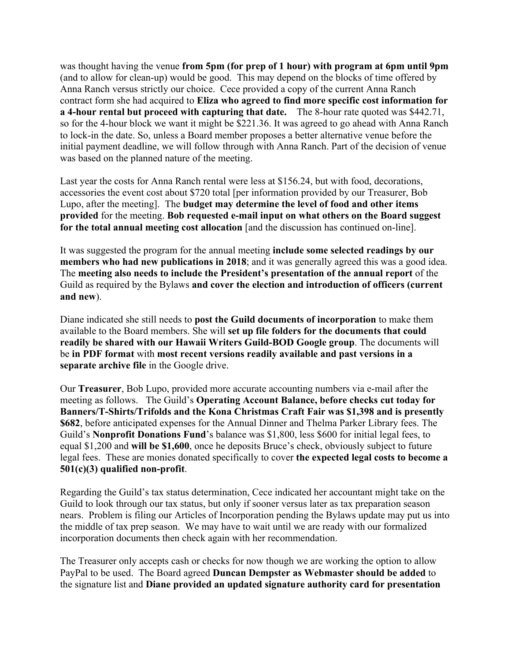was thought having the venue **from 5pm (for prep of 1 hour) with program at 6pm until 9pm**  (and to allow for clean-up) would be good. This may depend on the blocks of time offered by Anna Ranch versus strictly our choice. Cece provided a copy of the current Anna Ranch contract form she had acquired to **Eliza who agreed to find more specific cost information for a 4-hour rental but proceed with capturing that date.** The 8-hour rate quoted was \$442.71, so for the 4-hour block we want it might be \$221.36. It was agreed to go ahead with Anna Ranch to lock-in the date. So, unless a Board member proposes a better alternative venue before the initial payment deadline, we will follow through with Anna Ranch. Part of the decision of venue was based on the planned nature of the meeting.

Last year the costs for Anna Ranch rental were less at \$156.24, but with food, decorations, accessories the event cost about \$720 total [per information provided by our Treasurer, Bob Lupo, after the meeting]. The **budget may determine the level of food and other items provided** for the meeting. **Bob requested e-mail input on what others on the Board suggest for the total annual meeting cost allocation** [and the discussion has continued on-line].

It was suggested the program for the annual meeting **include some selected readings by our members who had new publications in 2018**; and it was generally agreed this was a good idea. The **meeting also needs to include the President's presentation of the annual report** of the Guild as required by the Bylaws **and cover the election and introduction of officers (current and new**).

Diane indicated she still needs to **post the Guild documents of incorporation** to make them available to the Board members. She will **set up file folders for the documents that could readily be shared with our Hawaii Writers Guild-BOD Google group**. The documents will be **in PDF format** with **most recent versions readily available and past versions in a separate archive file** in the Google drive.

Our **Treasurer**, Bob Lupo, provided more accurate accounting numbers via e-mail after the meeting as follows. The Guild's **Operating Account Balance, before checks cut today for Banners/T-Shirts/Trifolds and the Kona Christmas Craft Fair was \$1,398 and is presently \$682**, before anticipated expenses for the Annual Dinner and Thelma Parker Library fees. The Guild's **Nonprofit Donations Fund**'s balance was \$1,800, less \$600 for initial legal fees, to equal \$1,200 and **will be \$1,600**, once he deposits Bruce's check, obviously subject to future legal fees. These are monies donated specifically to cover **the expected legal costs to become a 501(c)(3) qualified non-profit**.

Regarding the Guild's tax status determination, Cece indicated her accountant might take on the Guild to look through our tax status, but only if sooner versus later as tax preparation season nears. Problem is filing our Articles of Incorporation pending the Bylaws update may put us into the middle of tax prep season. We may have to wait until we are ready with our formalized incorporation documents then check again with her recommendation.

The Treasurer only accepts cash or checks for now though we are working the option to allow PayPal to be used. The Board agreed **Duncan Dempster as Webmaster should be added** to the signature list and **Diane provided an updated signature authority card for presentation**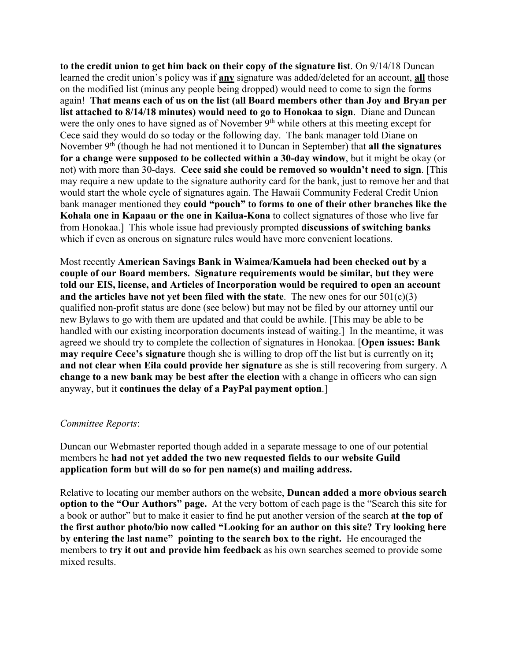**to the credit union to get him back on their copy of the signature list**. On 9/14/18 Duncan learned the credit union's policy was if **any** signature was added/deleted for an account, **all** those on the modified list (minus any people being dropped) would need to come to sign the forms again! **That means each of us on the list (all Board members other than Joy and Bryan per list attached to 8/14/18 minutes) would need to go to Honokaa to sign**. Diane and Duncan were the only ones to have signed as of November 9<sup>th</sup> while others at this meeting except for Cece said they would do so today or the following day. The bank manager told Diane on November 9<sup>th</sup> (though he had not mentioned it to Duncan in September) that **all the signatures for a change were supposed to be collected within a 30-day window**, but it might be okay (or not) with more than 30-days. **Cece said she could be removed so wouldn't need to sign**. [This may require a new update to the signature authority card for the bank, just to remove her and that would start the whole cycle of signatures again. The Hawaii Community Federal Credit Union bank manager mentioned they **could "pouch" to forms to one of their other branches like the Kohala one in Kapaau or the one in Kailua-Kona** to collect signatures of those who live far from Honokaa.] This whole issue had previously prompted **discussions of switching banks** which if even as onerous on signature rules would have more convenient locations.

Most recently **American Savings Bank in Waimea/Kamuela had been checked out by a couple of our Board members. Signature requirements would be similar, but they were told our EIS, license, and Articles of Incorporation would be required to open an account and the articles have not yet been filed with the state**. The new ones for our 501(c)(3) qualified non-profit status are done (see below) but may not be filed by our attorney until our new Bylaws to go with them are updated and that could be awhile. [This may be able to be handled with our existing incorporation documents instead of waiting.] In the meantime, it was agreed we should try to complete the collection of signatures in Honokaa. [**Open issues: Bank may require Cece's signature** though she is willing to drop off the list but is currently on it**; and not clear when Eila could provide her signature** as she is still recovering from surgery. A **change to a new bank may be best after the election** with a change in officers who can sign anyway, but it **continues the delay of a PayPal payment option**.]

## *Committee Reports*:

Duncan our Webmaster reported though added in a separate message to one of our potential members he **had not yet added the two new requested fields to our website Guild application form but will do so for pen name(s) and mailing address.**

Relative to locating our member authors on the website, **Duncan added a more obvious search option to the "Our Authors" page.** At the very bottom of each page is the "Search this site for a book or author" but to make it easier to find he put another version of the search **at the top of the first author photo/bio now called "Looking for an author on this site? Try looking here by entering the last name" pointing to the search box to the right.** He encouraged the members to **try it out and provide him feedback** as his own searches seemed to provide some mixed results.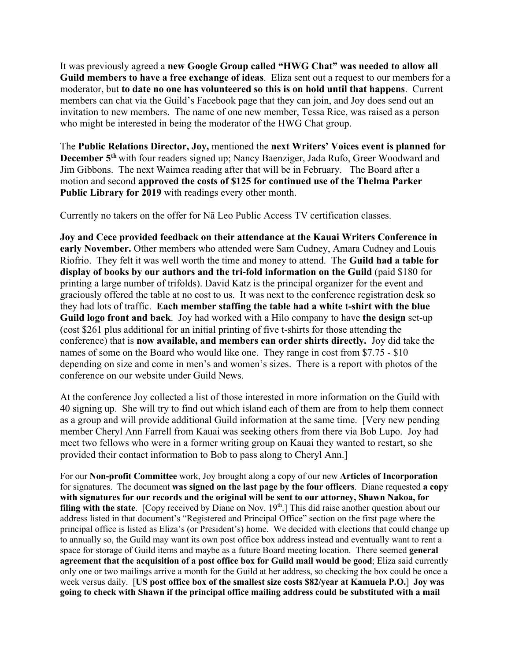It was previously agreed a **new Google Group called "HWG Chat" was needed to allow all Guild members to have a free exchange of ideas**. Eliza sent out a request to our members for a moderator, but **to date no one has volunteered so this is on hold until that happens**. Current members can chat via the Guild's Facebook page that they can join, and Joy does send out an invitation to new members. The name of one new member, Tessa Rice, was raised as a person who might be interested in being the moderator of the HWG Chat group.

The **Public Relations Director, Joy,** mentioned the **next Writers' Voices event is planned for December 5th** with four readers signed up; Nancy Baenziger, Jada Rufo, Greer Woodward and Jim Gibbons. The next Waimea reading after that will be in February. The Board after a motion and second **approved the costs of \$125 for continued use of the Thelma Parker Public Library for 2019** with readings every other month.

Currently no takers on the offer for Nā Leo Public Access TV certification classes.

**Joy and Cece provided feedback on their attendance at the Kauai Writers Conference in early November.** Other members who attended were Sam Cudney, Amara Cudney and Louis Riofrio. They felt it was well worth the time and money to attend. The **Guild had a table for display of books by our authors and the tri-fold information on the Guild** (paid \$180 for printing a large number of trifolds). David Katz is the principal organizer for the event and graciously offered the table at no cost to us. It was next to the conference registration desk so they had lots of traffic. **Each member staffing the table had a white t-shirt with the blue Guild logo front and back**. Joy had worked with a Hilo company to have **the design** set-up (cost \$261 plus additional for an initial printing of five t-shirts for those attending the conference) that is **now available, and members can order shirts directly.** Joy did take the names of some on the Board who would like one. They range in cost from \$7.75 - \$10 depending on size and come in men's and women's sizes. There is a report with photos of the conference on our website under Guild News.

At the conference Joy collected a list of those interested in more information on the Guild with 40 signing up. She will try to find out which island each of them are from to help them connect as a group and will provide additional Guild information at the same time. [Very new pending member Cheryl Ann Farrell from Kauai was seeking others from there via Bob Lupo. Joy had meet two fellows who were in a former writing group on Kauai they wanted to restart, so she provided their contact information to Bob to pass along to Cheryl Ann.]

For our **Non-profit Committee** work, Joy brought along a copy of our new **Articles of Incorporation** for signatures. The document **was signed on the last page by the four officers**. Diane requested **a copy with signatures for our records and the original will be sent to our attorney, Shawn Nakoa, for filing with the state**. [Copy received by Diane on Nov. 19<sup>th</sup>.] This did raise another question about our address listed in that document's "Registered and Principal Office" section on the first page where the principal office is listed as Eliza's (or President's) home. We decided with elections that could change up to annually so, the Guild may want its own post office box address instead and eventually want to rent a space for storage of Guild items and maybe as a future Board meeting location. There seemed **general agreement that the acquisition of a post office box for Guild mail would be good**; Eliza said currently only one or two mailings arrive a month for the Guild at her address, so checking the box could be once a week versus daily. [**US post office box of the smallest size costs \$82/year at Kamuela P.O.**] **Joy was going to check with Shawn if the principal office mailing address could be substituted with a mail**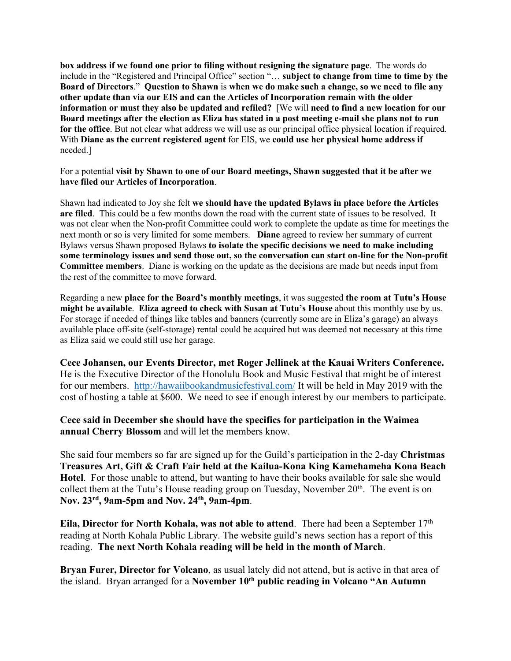**box address if we found one prior to filing without resigning the signature page**. The words do include in the "Registered and Principal Office" section "… **subject to change from time to time by the Board of Directors**." **Question to Shawn** is **when we do make such a change, so we need to file any other update than via our EIS and can the Articles of Incorporation remain with the older information or must they also be updated and refiled?** [We will **need to find a new location for our Board meetings after the election as Eliza has stated in a post meeting e-mail she plans not to run for the office**. But not clear what address we will use as our principal office physical location if required. With **Diane as the current registered agent** for EIS, we **could use her physical home address if** needed.]

For a potential **visit by Shawn to one of our Board meetings, Shawn suggested that it be after we have filed our Articles of Incorporation**.

Shawn had indicated to Joy she felt **we should have the updated Bylaws in place before the Articles are filed**. This could be a few months down the road with the current state of issues to be resolved. It was not clear when the Non-profit Committee could work to complete the update as time for meetings the next month or so is very limited for some members. **Diane** agreed to review her summary of current Bylaws versus Shawn proposed Bylaws **to isolate the specific decisions we need to make including some terminology issues and send those out, so the conversation can start on-line for the Non-profit Committee members**. Diane is working on the update as the decisions are made but needs input from the rest of the committee to move forward.

Regarding a new **place for the Board's monthly meetings**, it was suggested **the room at Tutu's House might be available**. **Eliza agreed to check with Susan at Tutu's House** about this monthly use by us. For storage if needed of things like tables and banners (currently some are in Eliza's garage) an always available place off-site (self-storage) rental could be acquired but was deemed not necessary at this time as Eliza said we could still use her garage.

**Cece Johansen, our Events Director, met Roger Jellinek at the Kauai Writers Conference.**  He is the Executive Director of the Honolulu Book and Music Festival that might be of interest for our members. http://hawaiibookandmusicfestival.com/ It will be held in May 2019 with the cost of hosting a table at \$600. We need to see if enough interest by our members to participate.

**Cece said in December she should have the specifics for participation in the Waimea annual Cherry Blossom** and will let the members know.

She said four members so far are signed up for the Guild's participation in the 2-day **Christmas Treasures Art, Gift & Craft Fair held at the Kailua-Kona King Kamehameha Kona Beach Hotel**. For those unable to attend, but wanting to have their books available for sale she would collect them at the Tutu's House reading group on Tuesday, November  $20<sup>th</sup>$ . The event is on **Nov. 23rd, 9am-5pm and Nov. 24th, 9am-4pm**.

**Eila, Director for North Kohala, was not able to attend.** There had been a September 17<sup>th</sup> reading at North Kohala Public Library. The website guild's news section has a report of this reading. **The next North Kohala reading will be held in the month of March**.

**Bryan Furer, Director for Volcano**, as usual lately did not attend, but is active in that area of the island. Bryan arranged for a **November 10th public reading in Volcano "An Autumn**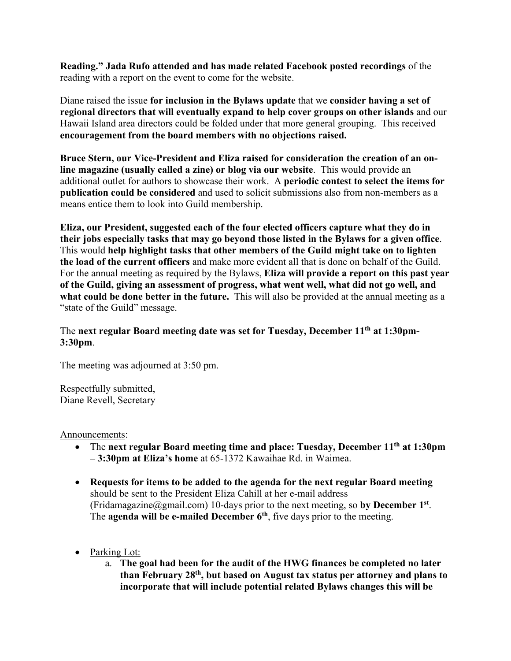**Reading." Jada Rufo attended and has made related Facebook posted recordings** of the reading with a report on the event to come for the website.

Diane raised the issue **for inclusion in the Bylaws update** that we **consider having a set of regional directors that will eventually expand to help cover groups on other islands** and our Hawaii Island area directors could be folded under that more general grouping. This received **encouragement from the board members with no objections raised.**

**Bruce Stern, our Vice-President and Eliza raised for consideration the creation of an online magazine (usually called a zine) or blog via our website**. This would provide an additional outlet for authors to showcase their work. A **periodic contest to select the items for publication could be considered** and used to solicit submissions also from non-members as a means entice them to look into Guild membership.

**Eliza, our President, suggested each of the four elected officers capture what they do in their jobs especially tasks that may go beyond those listed in the Bylaws for a given office**. This would **help highlight tasks that other members of the Guild might take on to lighten the load of the current officers** and make more evident all that is done on behalf of the Guild. For the annual meeting as required by the Bylaws, **Eliza will provide a report on this past year of the Guild, giving an assessment of progress, what went well, what did not go well, and what could be done better in the future.** This will also be provided at the annual meeting as a "state of the Guild" message.

## The **next regular Board meeting date was set for Tuesday, December 11th at 1:30pm-3:30pm**.

The meeting was adjourned at 3:50 pm.

Respectfully submitted, Diane Revell, Secretary

## Announcements:

- The **next regular Board meeting time and place: Tuesday, December 11th at 1:30pm – 3:30pm at Eliza's home** at 65-1372 Kawaihae Rd. in Waimea.
- **Requests for items to be added to the agenda for the next regular Board meeting** should be sent to the President Eliza Cahill at her e-mail address (Fridamagazine@gmail.com) 10-days prior to the next meeting, so **by December 1st**. The **agenda will be e-mailed December 6th**, five days prior to the meeting.
- Parking Lot:
	- a. **The goal had been for the audit of the HWG finances be completed no later than February 28th, but based on August tax status per attorney and plans to incorporate that will include potential related Bylaws changes this will be**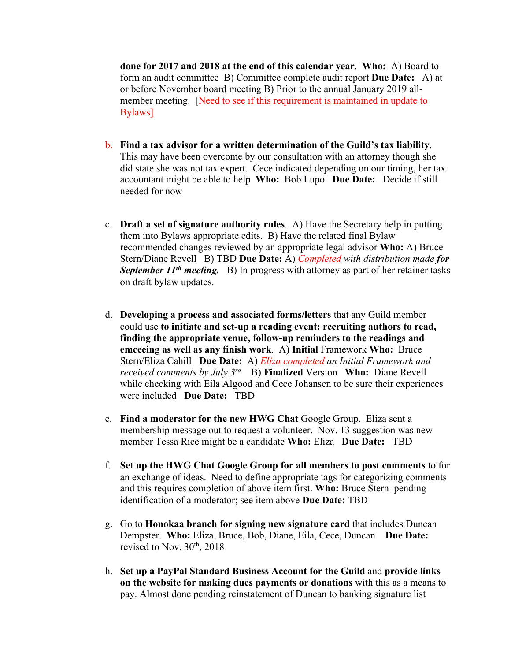**done for 2017 and 2018 at the end of this calendar year**. **Who:** A) Board to form an audit committee B) Committee complete audit report **Due Date:** A) at or before November board meeting B) Prior to the annual January 2019 allmember meeting. [Need to see if this requirement is maintained in update to Bylaws]

- b. **Find a tax advisor for a written determination of the Guild's tax liability**. This may have been overcome by our consultation with an attorney though she did state she was not tax expert. Cece indicated depending on our timing, her tax accountant might be able to help **Who:** Bob Lupo **Due Date:** Decide if still needed for now
- c. **Draft a set of signature authority rules**. A) Have the Secretary help in putting them into Bylaws appropriate edits. B) Have the related final Bylaw recommended changes reviewed by an appropriate legal advisor **Who:** A) Bruce Stern/Diane Revell B) TBD **Due Date:** A) *Completed with distribution made for*  **September 11<sup>th</sup> meeting.** B) In progress with attorney as part of her retainer tasks on draft bylaw updates.
- d. **Developing a process and associated forms/letters** that any Guild member could use **to initiate and set-up a reading event: recruiting authors to read, finding the appropriate venue, follow-up reminders to the readings and emceeing as well as any finish work**. A) **Initial** Framework **Who:** Bruce Stern/Eliza Cahill **Due Date:** A) *Eliza completed an Initial Framework and received comments by July 3rd* B) **Finalized** Version **Who:** Diane Revell while checking with Eila Algood and Cece Johansen to be sure their experiences were included **Due Date:** TBD
- e. **Find a moderator for the new HWG Chat** Google Group. Eliza sent a membership message out to request a volunteer. Nov. 13 suggestion was new member Tessa Rice might be a candidate **Who:** Eliza **Due Date:** TBD
- f. **Set up the HWG Chat Google Group for all members to post comments** to for an exchange of ideas. Need to define appropriate tags for categorizing comments and this requires completion of above item first. **Who:** Bruce Stern pending identification of a moderator; see item above **Due Date:** TBD
- g. Go to **Honokaa branch for signing new signature card** that includes Duncan Dempster. **Who:** Eliza, Bruce, Bob, Diane, Eila, Cece, Duncan **Due Date:** revised to Nov.  $30<sup>th</sup>$ ,  $2018$
- h. **Set up a PayPal Standard Business Account for the Guild** and **provide links on the website for making dues payments or donations** with this as a means to pay. Almost done pending reinstatement of Duncan to banking signature list